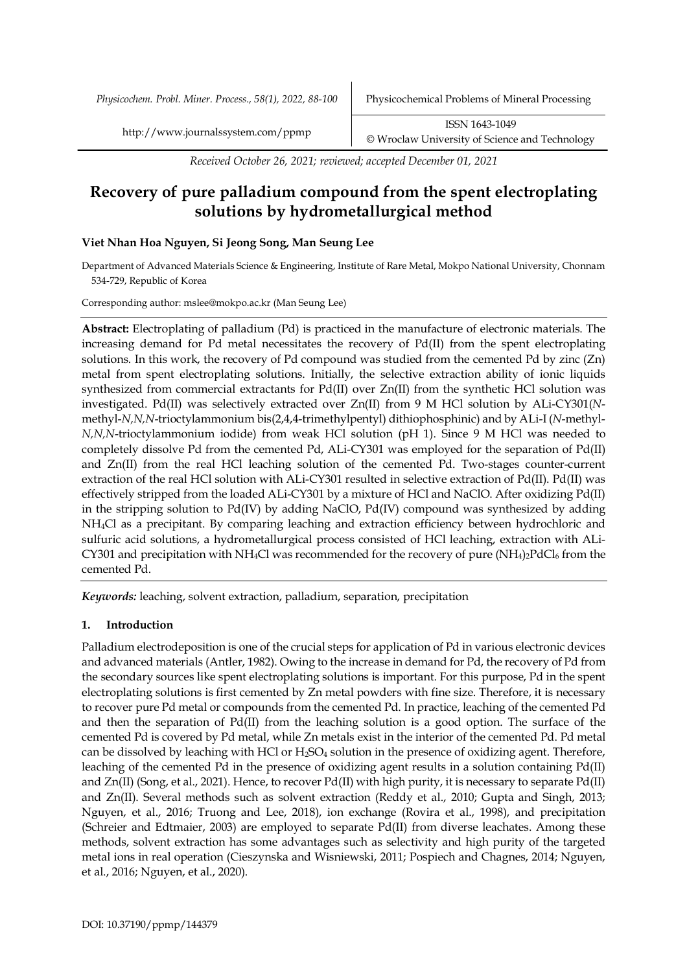*Received October 26, 2021; reviewed; accepted December 01, 2021*

# **Recovery of pure palladium compound from the spent electroplating solutions by hydrometallurgical method**

# **Viet Nhan Hoa Nguyen, Si Jeong Song, Man Seung Lee**

Department of Advanced Materials Science & Engineering, Institute of Rare Metal, Mokpo National University, Chonnam 534-729, Republic of Korea

Corresponding author: mslee@mokpo.ac.kr (Man Seung Lee)

**Abstract:** Electroplating of palladium (Pd) is practiced in the manufacture of electronic materials. The increasing demand for Pd metal necessitates the recovery of Pd(II) from the spent electroplating solutions. In this work, the recovery of Pd compound was studied from the cemented Pd by zinc (Zn) metal from spent electroplating solutions. Initially, the selective extraction ability of ionic liquids synthesized from commercial extractants for Pd(II) over Zn(II) from the synthetic HCl solution was investigated. Pd(II) was selectively extracted over Zn(II) from 9 M HCl solution by ALi-CY301(*N*methyl-*N,N,N*-trioctylammonium bis(2,4,4-trimethylpentyl) dithiophosphinic) and by ALi-I (*N*-methyl-*N,N,N*-trioctylammonium iodide) from weak HCl solution (pH 1). Since 9 M HCl was needed to completely dissolve Pd from the cemented Pd, ALi-CY301 was employed for the separation of Pd(II) and Zn(II) from the real HCl leaching solution of the cemented Pd. Two-stages counter-current extraction of the real HCl solution with ALi-CY301 resulted in selective extraction of Pd(II). Pd(II) was effectively stripped from the loaded ALi-CY301 by a mixture of HCl and NaClO. After oxidizing Pd(II) in the stripping solution to Pd(IV) by adding NaClO, Pd(IV) compound was synthesized by adding NH4Cl as a precipitant. By comparing leaching and extraction efficiency between hydrochloric and sulfuric acid solutions, a hydrometallurgical process consisted of HCl leaching, extraction with ALi-CY301 and precipitation with NH<sub>4</sub>Cl was recommended for the recovery of pure (NH<sub>4</sub>)<sub>2</sub>PdCl<sub>6</sub> from the cemented Pd.

*Keywords:* leaching, solvent extraction, palladium, separation, precipitation

# **1. Introduction**

Palladium electrodeposition is one of the crucial steps for application of Pd in various electronic devices and advanced materials (Antler, 1982). Owing to the increase in demand for Pd, the recovery of Pd from the secondary sources like spent electroplating solutions is important. For this purpose, Pd in the spent electroplating solutions is first cemented by Zn metal powders with fine size. Therefore, it is necessary to recover pure Pd metal or compounds from the cemented Pd. In practice, leaching of the cemented Pd and then the separation of Pd(II) from the leaching solution is a good option. The surface of the cemented Pd is covered by Pd metal, while Zn metals exist in the interior of the cemented Pd. Pd metal can be dissolved by leaching with HCl or  $H_2SO_4$  solution in the presence of oxidizing agent. Therefore, leaching of the cemented Pd in the presence of oxidizing agent results in a solution containing Pd(II) and Zn(II) (Song, et al., 2021). Hence, to recover Pd(II) with high purity, it is necessary to separate Pd(II) and Zn(II). Several methods such as solvent extraction (Reddy et al., 2010; Gupta and Singh, 2013; Nguyen, et al., 2016; Truong and Lee, 2018), ion exchange (Rovira et al., 1998), and precipitation (Schreier and Edtmaier, 2003) are employed to separate Pd(II) from diverse leachates. Among these methods, solvent extraction has some advantages such as selectivity and high purity of the targeted metal ions in real operation (Cieszynska and Wisniewski, 2011; Pospiech and Chagnes, 2014; Nguyen, et al., 2016; Nguyen, et al., 2020).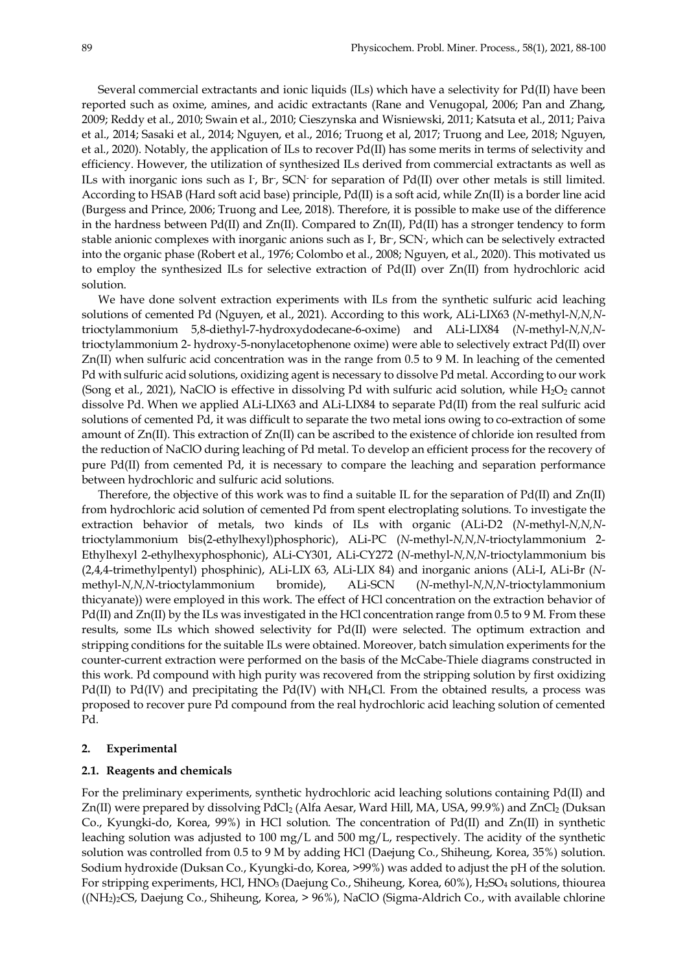Several commercial extractants and ionic liquids (ILs) which have a selectivity for Pd(II) have been reported such as oxime, amines, and acidic extractants (Rane and Venugopal, 2006; Pan and Zhang, 2009; Reddy et al., 2010; Swain et al., 2010; Cieszynska and Wisniewski, 2011; Katsuta et al., 2011; Paiva et al., 2014; Sasaki et al., 2014; Nguyen, et al., 2016; Truong et al, 2017; Truong and Lee, 2018; Nguyen, et al., 2020). Notably, the application of ILs to recover Pd(II) has some merits in terms of selectivity and efficiency. However, the utilization of synthesized ILs derived from commercial extractants as well as ILs with inorganic ions such as  $I<sub>r</sub>$ , Br-, SCN $\cdot$  for separation of Pd(II) over other metals is still limited. According to HSAB (Hard soft acid base) principle, Pd(II) is a soft acid, while Zn(II) is a border line acid (Burgess and Prince, 2006; Truong and Lee, 2018). Therefore, it is possible to make use of the difference in the hardness between Pd(II) and Zn(II). Compared to Zn(II), Pd(II) has a stronger tendency to form stable anionic complexes with inorganic anions such as I<sup>-</sup>, Br<sup>-</sup>, SCN<sup>-</sup>, which can be selectively extracted into the organic phase (Robert et al., 1976; Colombo et al., 2008; Nguyen, et al., 2020). This motivated us to employ the synthesized ILs for selective extraction of Pd(II) over Zn(II) from hydrochloric acid solution.

We have done solvent extraction experiments with ILs from the synthetic sulfuric acid leaching solutions of cemented Pd (Nguyen, et al., 2021). According to this work, ALi-LIX63 (*N*-methyl-*N,N,N*trioctylammonium 5,8-diethyl-7-hydroxydodecane-6-oxime) and ALi-LIX84 (*N*-methyl-*N,N,N*trioctylammonium 2- hydroxy-5-nonylacetophenone oxime) were able to selectively extract Pd(II) over Zn(II) when sulfuric acid concentration was in the range from 0.5 to 9 M. In leaching of the cemented Pd with sulfuric acid solutions, oxidizing agent is necessary to dissolve Pd metal. According to our work (Song et al., 2021), NaClO is effective in dissolving Pd with sulfuric acid solution, while  $H_2O_2$  cannot dissolve Pd. When we applied ALi-LIX63 and ALi-LIX84 to separate Pd(II) from the real sulfuric acid solutions of cemented Pd, it was difficult to separate the two metal ions owing to co-extraction of some amount of Zn(II). This extraction of Zn(II) can be ascribed to the existence of chloride ion resulted from the reduction of NaClO during leaching of Pd metal. To develop an efficient process for the recovery of pure Pd(II) from cemented Pd, it is necessary to compare the leaching and separation performance between hydrochloric and sulfuric acid solutions.

Therefore, the objective of this work was to find a suitable IL for the separation of Pd(II) and Zn(II) from hydrochloric acid solution of cemented Pd from spent electroplating solutions. To investigate the extraction behavior of metals, two kinds of ILs with organic (ALi-D2 (*N*-methyl-*N,N,N*trioctylammonium bis(2-ethylhexyl)phosphoric), ALi-PC (*N*-methyl-*N,N,N*-trioctylammonium 2- Ethylhexyl 2-ethylhexyphosphonic), ALi-CY301, ALi-CY272 (*N*-methyl-*N,N,N*-trioctylammonium bis (2,4,4-trimethylpentyl) phosphinic), ALi-LIX 63, ALi-LIX 84) and inorganic anions (ALi-I, ALi-Br (*N*methyl-*N,N,N*-trioctylammonium bromide), ALi-SCN (*N*-methyl-*N,N,N*-trioctylammonium thicyanate)) were employed in this work. The effect of HCl concentration on the extraction behavior of  $Pd(II)$  and  $Zn(II)$  by the ILs was investigated in the HCl concentration range from 0.5 to 9 M. From these results, some ILs which showed selectivity for Pd(II) were selected. The optimum extraction and stripping conditions for the suitable ILs were obtained. Moreover, batch simulation experiments for the counter-current extraction were performed on the basis of the McCabe-Thiele diagrams constructed in this work. Pd compound with high purity was recovered from the stripping solution by first oxidizing Pd(II) to Pd(IV) and precipitating the Pd(IV) with NH<sub>4</sub>Cl. From the obtained results, a process was proposed to recover pure Pd compound from the real hydrochloric acid leaching solution of cemented Pd.

## **2. Experimental**

### **2.1. Reagents and chemicals**

For the preliminary experiments, synthetic hydrochloric acid leaching solutions containing Pd(II) and Zn(II) were prepared by dissolving PdCl<sub>2</sub> (Alfa Aesar, Ward Hill, MA, USA, 99.9%) and ZnCl<sub>2</sub> (Duksan Co., Kyungki-do, Korea, 99%) in HCl solution. The concentration of Pd(II) and Zn(II) in synthetic leaching solution was adjusted to 100 mg/L and 500 mg/L, respectively. The acidity of the synthetic solution was controlled from 0.5 to 9 M by adding HCl (Daejung Co., Shiheung, Korea, 35%) solution. Sodium hydroxide (Duksan Co., Kyungki-do, Korea, >99%) was added to adjust the pH of the solution. For stripping experiments, HCl, HNO<sub>3</sub> (Daejung Co., Shiheung, Korea, 60%), H<sub>2</sub>SO<sub>4</sub> solutions, thiourea  $((NH<sub>2</sub>)<sub>2</sub>CS, Daegung Co., Shiheung, Korea, > 96%), NaClO (Sigma-Aldrich Co., with available chlorine$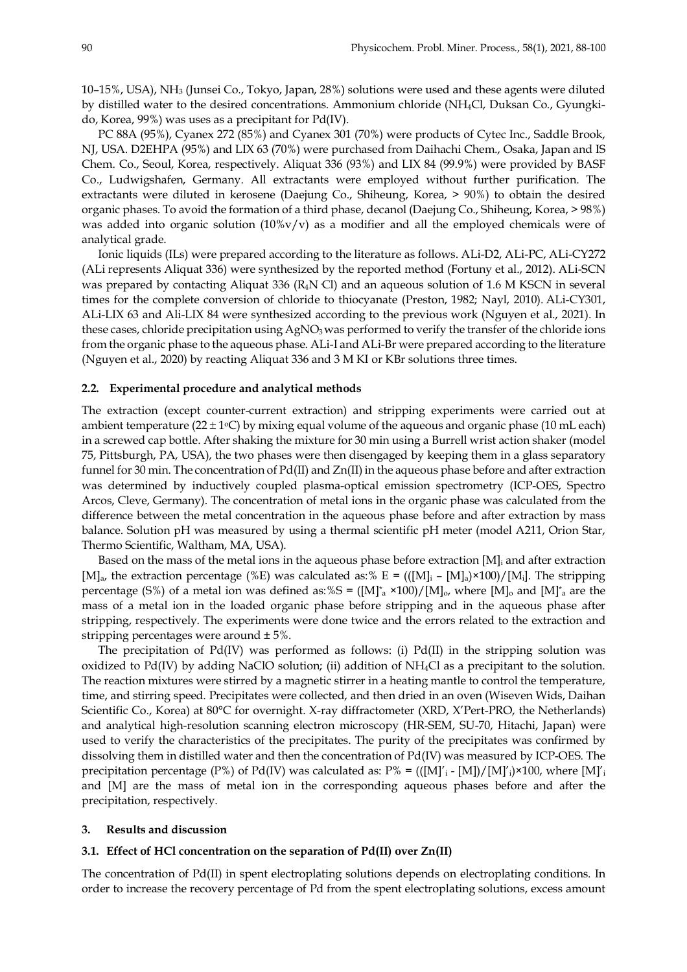10–15%, USA), NH3 (Junsei Co., Tokyo, Japan, 28%) solutions were used and these agents were diluted by distilled water to the desired concentrations. Ammonium chloride (NH4Cl, Duksan Co., Gyungkido, Korea, 99%) was uses as a precipitant for Pd(IV).

PC 88A (95%), Cyanex 272 (85%) and Cyanex 301 (70%) were products of Cytec Inc., Saddle Brook, NJ, USA. D2EHPA (95%) and LIX 63 (70%) were purchased from Daihachi Chem., Osaka, Japan and IS Chem. Co., Seoul, Korea, respectively. Aliquat 336 (93%) and LIX 84 (99.9%) were provided by BASF Co., Ludwigshafen, Germany. All extractants were employed without further purification. The extractants were diluted in kerosene (Daejung Co., Shiheung, Korea, > 90%) to obtain the desired organic phases. To avoid the formation of a third phase, decanol (Daejung Co., Shiheung, Korea, > 98%) was added into organic solution  $(10\%v/v)$  as a modifier and all the employed chemicals were of analytical grade.

Ionic liquids (ILs) were prepared according to the literature as follows. ALi-D2, ALi-PC, ALi-CY272 (ALi represents Aliquat 336) were synthesized by the reported method (Fortuny et al., 2012). ALi-SCN was prepared by contacting Aliquat 336 ( $R_4N$ Cl) and an aqueous solution of 1.6 M KSCN in several times for the complete conversion of chloride to thiocyanate (Preston, 1982; Nayl, 2010). ALi-CY301, ALi-LIX 63 and Ali-LIX 84 were synthesized according to the previous work (Nguyen et al., 2021). In these cases, chloride precipitation using AgNO<sub>3</sub> was performed to verify the transfer of the chloride ions from the organic phase to the aqueous phase. ALi-I and ALi-Br were prepared according to the literature (Nguyen et al., 2020) by reacting Aliquat 336 and 3 M KI or KBr solutions three times.

#### **2.2. Experimental procedure and analytical methods**

The extraction (except counter-current extraction) and stripping experiments were carried out at ambient temperature (22  $\pm$  1°C) by mixing equal volume of the aqueous and organic phase (10 mL each) in a screwed cap bottle. After shaking the mixture for 30 min using a Burrell wrist action shaker (model 75, Pittsburgh, PA, USA), the two phases were then disengaged by keeping them in a glass separatory funnel for 30 min. The concentration of Pd(II) and Zn(II) in the aqueous phase before and after extraction was determined by inductively coupled plasma-optical emission spectrometry (ICP-OES, Spectro Arcos, Cleve, Germany). The concentration of metal ions in the organic phase was calculated from the difference between the metal concentration in the aqueous phase before and after extraction by mass balance. Solution pH was measured by using a thermal scientific pH meter (model A211, Orion Star, Thermo Scientific, Waltham, MA, USA).

Based on the mass of the metal ions in the aqueous phase before extraction [M]<sub>i</sub> and after extraction [M]<sub>a</sub>, the extraction percentage (%E) was calculated as:% E = (([M]<sub>i</sub> – [M]<sub>a</sub>)×100)/[M<sub>i</sub>]. The stripping percentage (S%) of a metal ion was defined as:%S =  $([M]_a^* \times 100)/[M]_o$ , where  $[M]_o$  and  $[M]_a^*$  are the mass of a metal ion in the loaded organic phase before stripping and in the aqueous phase after stripping, respectively. The experiments were done twice and the errors related to the extraction and stripping percentages were around ± 5%.

The precipitation of  $Pd(IV)$  was performed as follows: (i)  $Pd(II)$  in the stripping solution was oxidized to Pd(IV) by adding NaClO solution; (ii) addition of NH4Cl as a precipitant to the solution. The reaction mixtures were stirred by a magnetic stirrer in a heating mantle to control the temperature, time, and stirring speed. Precipitates were collected, and then dried in an oven (Wiseven Wids, Daihan Scientific Co., Korea) at 80°C for overnight. X-ray diffractometer (XRD, X'Pert-PRO, the Netherlands) and analytical high-resolution scanning electron microscopy (HR-SEM, SU-70, Hitachi, Japan) were used to verify the characteristics of the precipitates. The purity of the precipitates was confirmed by dissolving them in distilled water and then the concentration of Pd(IV) was measured by ICP-OES. The precipitation percentage (P%) of Pd(IV) was calculated as:  $P% = (([M]'<sub>i</sub> - [M])/[M]'<sub>i</sub>) \times 100$ , where  $[M]'<sub>i</sub>$ and [M] are the mass of metal ion in the corresponding aqueous phases before and after the precipitation, respectively.

# **3. Results and discussion**

# **3.1. Effect of HCl concentration on the separation of Pd(II) over Zn(II)**

The concentration of Pd(II) in spent electroplating solutions depends on electroplating conditions. In order to increase the recovery percentage of Pd from the spent electroplating solutions, excess amount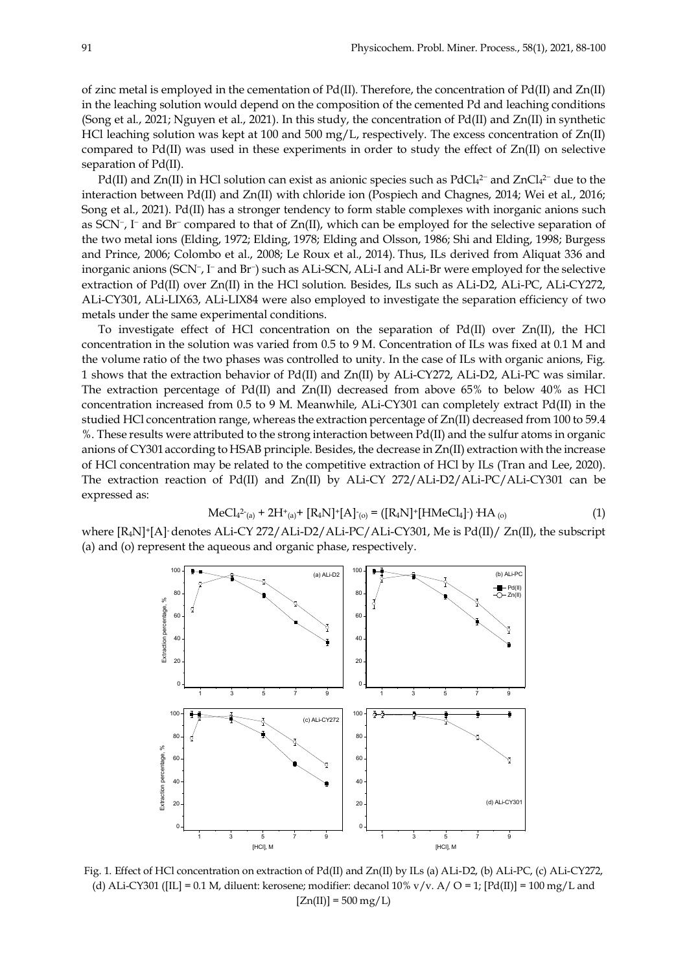of zinc metal is employed in the cementation of Pd(II). Therefore, the concentration of Pd(II) and Zn(II) in the leaching solution would depend on the composition of the cemented Pd and leaching conditions (Song et al., 2021; Nguyen et al., 2021). In this study, the concentration of Pd(II) and Zn(II) in synthetic HCl leaching solution was kept at 100 and 500 mg/L, respectively. The excess concentration of Zn(II) compared to Pd(II) was used in these experiments in order to study the effect of  $Zn(II)$  on selective separation of Pd(II).

Pd(II) and  $Zn(II)$  in HCl solution can exist as anionic species such as PdCl<sub>4</sub><sup>2-</sup> and  $ZnCl<sub>4</sub><sup>2-</sup>$  due to the interaction between Pd(II) and Zn(II) with chloride ion (Pospiech and Chagnes, 2014; Wei et al., 2016; Song et al., 2021). Pd(II) has a stronger tendency to form stable complexes with inorganic anions such as SCN<sup>-</sup>, I<sup>-</sup> and Br<sup>-</sup> compared to that of Zn(II), which can be employed for the selective separation of the two metal ions (Elding, 1972; Elding, 1978; Elding and Olsson, 1986; Shi and Elding, 1998; Burgess and Prince, 2006; Colombo et al., 2008; Le Roux et al., 2014). Thus, ILs derived from Aliquat 336 and inorganic anions (SCN<sup>-</sup>, I<sup>-</sup> and Br<sup>-</sup>) such as ALi-SCN, ALi-I and ALi-Br were employed for the selective extraction of Pd(II) over Zn(II) in the HCl solution. Besides, ILs such as ALi-D2, ALi-PC, ALi-CY272, ALi-CY301, ALi-LIX63, ALi-LIX84 were also employed to investigate the separation efficiency of two metals under the same experimental conditions.

To investigate effect of HCl concentration on the separation of Pd(II) over Zn(II), the HCl concentration in the solution was varied from 0.5 to 9 M. Concentration of ILs was fixed at 0.1 M and the volume ratio of the two phases was controlled to unity. In the case of ILs with organic anions, Fig. 1 shows that the extraction behavior of Pd(II) and Zn(II) by ALi-CY272, ALi-D2, ALi-PC was similar. The extraction percentage of Pd(II) and Zn(II) decreased from above 65% to below 40% as HCl concentration increased from 0.5 to 9 M. Meanwhile, ALi-CY301 can completely extract Pd(II) in the studied HCl concentration range, whereas the extraction percentage of Zn(II) decreased from 100 to 59.4 %. These results were attributed to the strong interaction between Pd(II) and the sulfur atoms in organic anions of CY301according to HSAB principle. Besides, the decrease in Zn(II) extraction with the increase of HCl concentration may be related to the competitive extraction of HCl by ILs (Tran and Lee, 2020). The extraction reaction of Pd(II) and Zn(II) by ALi-CY 272/ALi-D2/ALi-PC/ALi-CY301 can be expressed as:

$$
MeCl_{4}^{2-}(a) + 2H^{+}(a) + [R_{4}N]^{+}[A]^{-}(o) = ([R_{4}N]^{+}[HMeCl_{4}]) + AA_{(o)}
$$
\n(1)

where  $[R_4N]^+$ [A]-denotes ALi-CY 272/ALi-D2/ALi-PC/ALi-CY301, Me is Pd(II)/ Zn(II), the subscript (a) and (o) represent the aqueous and organic phase, respectively.



Fig. 1. Effect of HCl concentration on extraction of Pd(II) and Zn(II) by ILs (a) ALi-D2, (b) ALi-PC, (c) ALi-CY272, (d) ALi-CY301 ([IL] = 0.1 M, diluent: kerosene; modifier: decanol  $10\%$  v/v. A/ O = 1; [Pd(II)] = 100 mg/L and  $[Zn(II)] = 500 mg/L$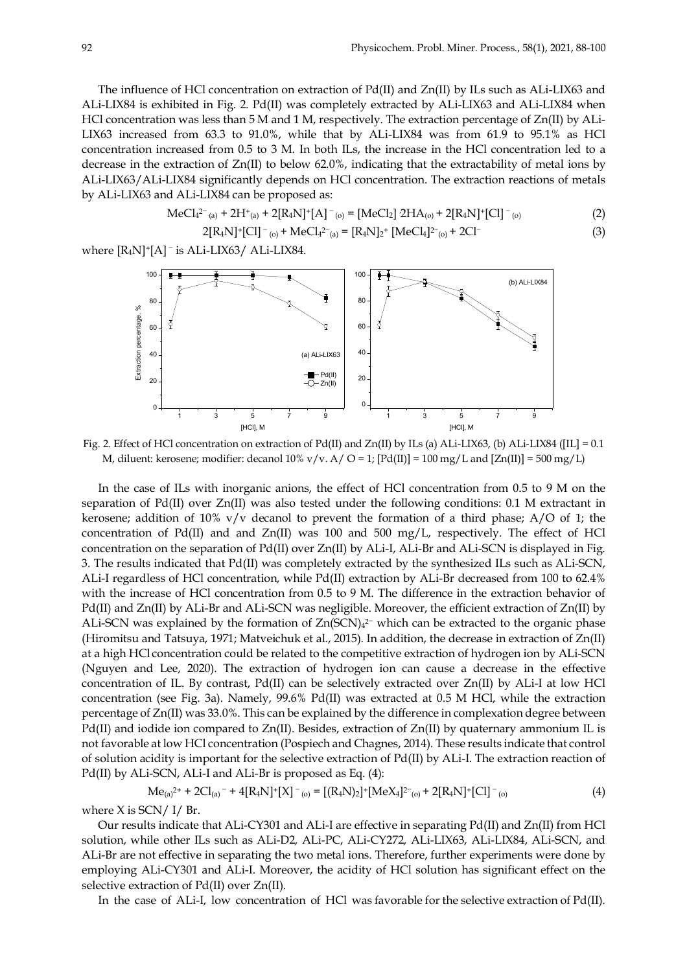The influence of HCl concentration on extraction of Pd(II) and Zn(II) by ILs such as ALi-LIX63 and ALi-LIX84 is exhibited in Fig. 2. Pd(II) was completely extracted by ALi-LIX63 and ALi-LIX84 when HCl concentration was less than 5 M and 1 M, respectively. The extraction percentage of Zn(II) by ALi-LIX63 increased from 63.3 to 91.0%, while that by ALi-LIX84 was from 61.9 to 95.1% as HCl concentration increased from 0.5 to 3 M. In both ILs, the increase in the HCl concentration led to a decrease in the extraction of  $Zn(II)$  to below 62.0%, indicating that the extractability of metal ions by ALi-LIX63/ALi-LIX84 significantly depends on HCl concentration. The extraction reactions of metals by ALi-LIX63 and ALi-LIX84 can be proposed as:

$$
MeCl_{4^{2-}(a)} + 2H^{+}(a) + 2[R_{4}N]^{+}[A]^{-}(o) = [MeCl_{2}] 2HA_{(o)} + 2[R_{4}N]^{+}[Cl]^{-}(o)
$$
\n(2)

$$
2[R_4N]^*[Cl]^-(0) + MeCl_4^{2-}(a) = [R_4N]_2^*[MeCl_4]^{2-}(0) + 2Cl^-
$$
\n(3)

where  $[R_4N]^+[A]$ <sup>-</sup> is ALi-LIX63/ ALi-LIX84.



Fig. 2. Effect of HCl concentration on extraction of Pd(II) and Zn(II) by ILs (a) ALi-LIX63, (b) ALi-LIX84 ([IL] = 0.1 M, diluent: kerosene; modifier: decanol  $10\%$  v/v. A/ O = 1; [Pd(II)] =  $100$  mg/L and [Zn(II)] =  $500$  mg/L)

In the case of ILs with inorganic anions, the effect of HCl concentration from 0.5 to 9 M on the separation of Pd(II) over Zn(II) was also tested under the following conditions: 0.1 M extractant in kerosene; addition of 10% v/v decanol to prevent the formation of a third phase;  $A/O$  of 1; the concentration of Pd(II) and and  $Zn(II)$  was 100 and 500 mg/L, respectively. The effect of HCl concentration on the separation of Pd(II) over Zn(II) by ALi-I, ALi-Br and ALi-SCN is displayed in Fig. 3. The results indicated that Pd(II) was completely extracted by the synthesized ILs such as ALi-SCN, ALi-I regardless of HCl concentration, while Pd(II) extraction by ALi-Br decreased from 100 to 62.4% with the increase of HCl concentration from 0.5 to 9 M. The difference in the extraction behavior of Pd(II) and Zn(II) by ALi-Br and ALi-SCN was negligible. Moreover, the efficient extraction of Zn(II) by ALi-SCN was explained by the formation of  $Zn(SCN)<sub>4</sub><sup>2</sup>$  which can be extracted to the organic phase (Hiromitsu and Tatsuya, 1971; Matveichuk et al., 2015). In addition, the decrease in extraction of Zn(II) at a high HCl concentration could be related to the competitive extraction of hydrogen ion by ALi-SCN (Nguyen and Lee, 2020). The extraction of hydrogen ion can cause a decrease in the effective concentration of IL. By contrast, Pd(II) can be selectively extracted over Zn(II) by ALi-I at low HCl concentration (see Fig. 3a). Namely, 99.6% Pd(II) was extracted at 0.5 M HCl, while the extraction percentage of Zn(II) was 33.0%. This can be explained by the difference in complexation degree between Pd(II) and iodide ion compared to  $Zn(II)$ . Besides, extraction of  $Zn(II)$  by quaternary ammonium IL is not favorable at low HCl concentration (Pospiech and Chagnes, 2014). These results indicate that control of solution acidity is important for the selective extraction of Pd(II) by ALi-I. The extraction reaction of Pd(II) by ALi-SCN, ALi-I and ALi-Br is proposed as Eq. (4):

$$
Me_{(a)}^{2+} + 2Cl_{(a)}^{-} + 4[R_4N]^+[X]^{-}(o) = [(R_4N)_2]^+[MeX_4]^{2-}(o) + 2[R_4N]^+[Cl]^{-}(o)
$$
\n(4)

where  $X$  is SCN/ I/ Br.

Our results indicate that ALi-CY301 and ALi-I are effective in separating Pd(II) and Zn(II) from HCl solution, while other ILs such as ALi-D2, ALi-PC, ALi-CY272, ALi-LIX63, ALi-LIX84, ALi-SCN, and ALi-Br are not effective in separating the two metal ions. Therefore, further experiments were done by employing ALi-CY301 and ALi-I. Moreover, the acidity of HCl solution has significant effect on the selective extraction of Pd(II) over Zn(II).

In the case of ALi-I, low concentration of HCl was favorable for the selective extraction of Pd(II).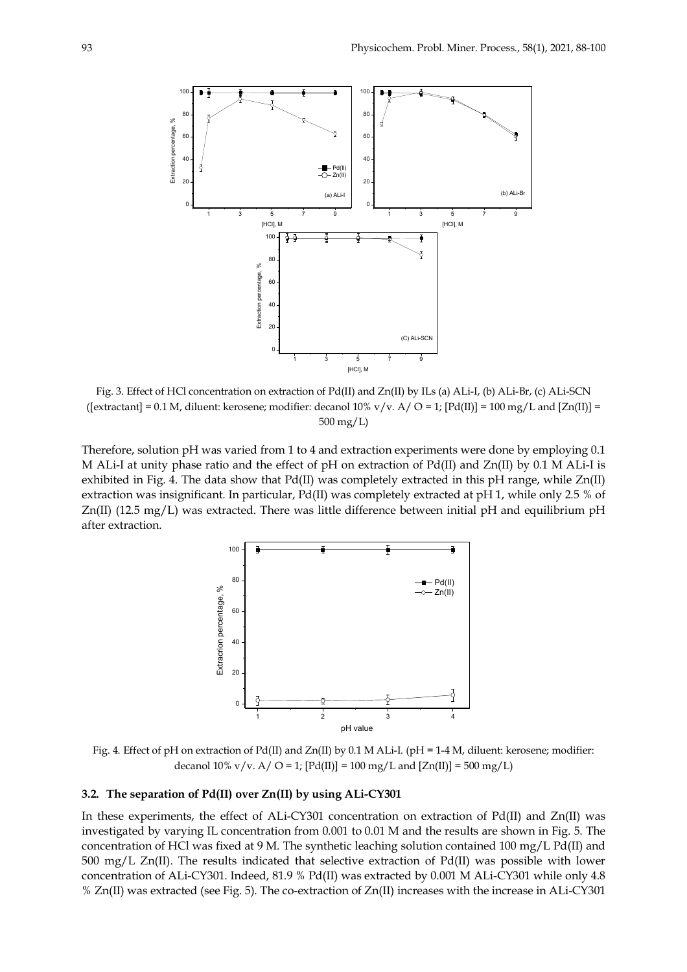

Fig. 3. Effect of HCl concentration on extraction of Pd(II) and Zn(II) by ILs (a) ALi-I, (b) ALi-Br, (c) ALi-SCN ([extractant] = 0.1 M, diluent: kerosene; modifier: decanol  $10\%$  v/v. A/ O = 1; [Pd(II)] = 100 mg/L and [Zn(II)] = 500 mg/L)

Therefore, solution pH was varied from 1 to 4 and extraction experiments were done by employing 0.1 M ALi-I at unity phase ratio and the effect of pH on extraction of Pd(II) and Zn(II) by 0.1 M ALi-I is exhibited in Fig. 4. The data show that Pd(II) was completely extracted in this pH range, while Zn(II) extraction was insignificant. In particular, Pd(II) was completely extracted at pH 1, while only 2.5 % of Zn(II) (12.5 mg/L) was extracted. There was little difference between initial pH and equilibrium pH after extraction.



Fig. 4. Effect of pH on extraction of Pd(II) and Zn(II) by 0.1 M ALi-I. (pH = 1-4 M, diluent: kerosene; modifier: decanol 10% v/v. A/ O = 1;  $[Pd(II)] = 100$  mg/L and  $[Zn(II)] = 500$  mg/L)

# **3.2. The separation of Pd(II) over Zn(II) by using ALi-CY301**

In these experiments, the effect of ALi-CY301 concentration on extraction of Pd(II) and Zn(II) was investigated by varying IL concentration from 0.001 to 0.01 M and the results are shown in Fig. 5. The concentration of HCl was fixed at 9 M. The synthetic leaching solution contained 100 mg/L Pd(II) and 500 mg/L Zn(II). The results indicated that selective extraction of Pd(II) was possible with lower concentration of ALi-CY301. Indeed, 81.9 % Pd(II) was extracted by 0.001 M ALi-CY301 while only 4.8 % Zn(II) was extracted (see Fig. 5). The co-extraction of Zn(II) increases with the increase in ALi-CY301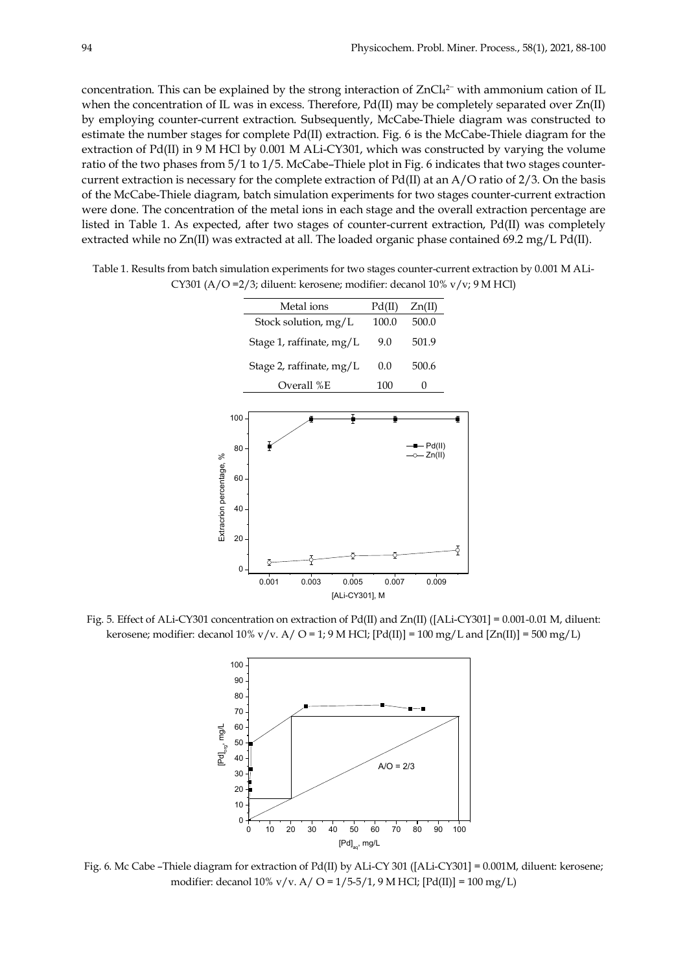concentration. This can be explained by the strong interaction of  $ZnCl<sub>4</sub><sup>2-</sup>$  with ammonium cation of IL when the concentration of IL was in excess. Therefore, Pd(II) may be completely separated over Zn(II) by employing counter-current extraction. Subsequently, McCabe-Thiele diagram was constructed to estimate the number stages for complete Pd(II) extraction. Fig. 6 is the McCabe-Thiele diagram for the extraction of Pd(II) in 9 M HCl by 0.001 M ALi-CY301, which was constructed by varying the volume ratio of the two phases from 5/1 to 1/5. McCabe–Thiele plot in Fig. 6 indicates that two stages countercurrent extraction is necessary for the complete extraction of Pd(II) at an A/O ratio of 2/3. On the basis of the McCabe-Thiele diagram, batch simulation experiments for two stages counter-current extraction were done. The concentration of the metal ions in each stage and the overall extraction percentage are listed in Table 1. As expected, after two stages of counter-current extraction, Pd(II) was completely extracted while no Zn(II) was extracted at all. The loaded organic phase contained 69.2 mg/L Pd(II).

Table 1. Results from batch simulation experiments for two stages counter-current extraction by 0.001 M ALi-CY301 (A/O =2/3; diluent: kerosene; modifier: decanol 10% v/v; 9 M HCl)



Fig. 5. Effect of ALi-CY301 concentration on extraction of Pd(II) and Zn(II) ([ALi-CY301] = 0.001-0.01 M, diluent: kerosene; modifier: decanol  $10\%$  v/v. A/ O = 1; 9 M HCl;  $[Pd(II)] = 100$  mg/L and  $[Zn(II)] = 500$  mg/L)



Fig. 6. Mc Cabe –Thiele diagram for extraction of Pd(II) by ALi-CY 301 ([ALi-CY301] = 0.001M, diluent: kerosene; modifier: decanol 10% v/v. A/ O =  $1/5-5/1$ , 9 M HCl; [Pd(II)] = 100 mg/L)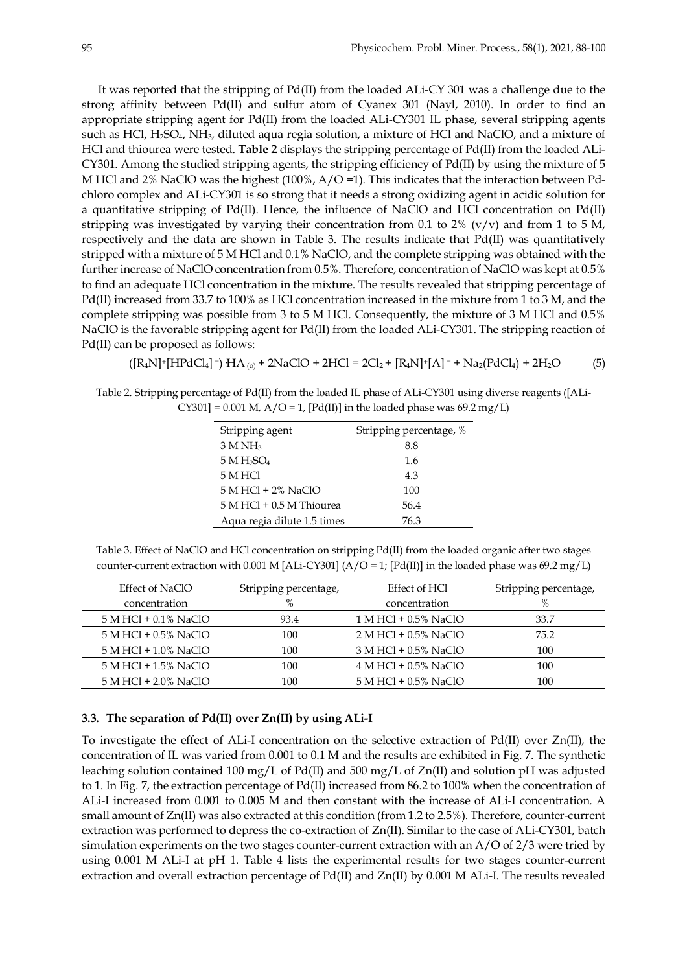It was reported that the stripping of Pd(II) from the loaded ALi-CY 301 was a challenge due to the strong affinity between Pd(II) and sulfur atom of Cyanex 301 (Nayl, 2010). In order to find an appropriate stripping agent for Pd(II) from the loaded ALi-CY301 IL phase, several stripping agents such as HCl,  $H_2SO_4$ , NH<sub>3</sub>, diluted aqua regia solution, a mixture of HCl and NaClO, and a mixture of HCl and thiourea were tested. **Table 2** displays the stripping percentage of Pd(II) from the loaded ALi-CY301. Among the studied stripping agents, the stripping efficiency of Pd(II) by using the mixture of 5 M HCl and 2% NaClO was the highest (100%, A/O =1). This indicates that the interaction between Pdchloro complex and ALi-CY301 is so strong that it needs a strong oxidizing agent in acidic solution for a quantitative stripping of Pd(II). Hence, the influence of NaClO and HCl concentration on Pd(II) stripping was investigated by varying their concentration from 0.1 to 2% ( $v/v$ ) and from 1 to 5 M, respectively and the data are shown in Table 3. The results indicate that Pd(II) was quantitatively stripped with a mixture of 5 M HCl and 0.1% NaClO, and the complete stripping was obtained with the further increase of NaClO concentration from 0.5%. Therefore, concentration of NaClO was kept at 0.5% to find an adequate HCl concentration in the mixture. The results revealed that stripping percentage of Pd(II) increased from 33.7 to 100% as HCl concentration increased in the mixture from 1 to 3 M, and the complete stripping was possible from 3 to 5 M HCl. Consequently, the mixture of 3 M HCl and 0.5% NaClO is the favorable stripping agent for Pd(II) from the loaded ALi-CY301. The stripping reaction of Pd(II) can be proposed as follows:

 $([R_4N]^+[HPdCl_4]^-)HA_{(0)} + 2NaClO + 2HCl = 2Cl_2 + [R_4N]^+[A]^- + Na_2(PdCl_4) + 2H_2O$  (5)

Table 2. Stripping percentage of Pd(II) from the loaded IL phase of ALi-CY301 using diverse reagents ([ALi-CY301] = 0.001 M,  $A/O = 1$ , [Pd(II)] in the loaded phase was 69.2 mg/L)

| Stripping agent                    | Stripping percentage, % |
|------------------------------------|-------------------------|
| $3$ M NH <sub>3</sub>              | 8.8                     |
| 5 M H <sub>2</sub> SO <sub>4</sub> | 1.6                     |
| 5 M HCl                            | 4.3                     |
| $5$ M HCl + 2% NaClO               | 100                     |
| $5 M HCl + 0.5 M Thiourea$         | 56.4                    |
| Aqua regia dilute 1.5 times        | 76.3                    |

Table 3. Effect of NaClO and HCl concentration on stripping Pd(II) from the loaded organic after two stages counter-current extraction with 0.001 M [ALi-CY301] ( $A/O = 1$ ; [Pd(II)] in the loaded phase was 69.2 mg/L)

| Effect of NaClO        | Stripping percentage, | Effect of HCl          | Stripping percentage, |
|------------------------|-----------------------|------------------------|-----------------------|
| concentration          | $\%$                  | concentration          | $\%$                  |
| $5$ M HCl + 0.1% NaClO | 93.4                  | 1 M HCl + 0.5% NaClO   | 33.7                  |
| $5$ M HCl + 0.5% NaClO | 100                   | $2$ M HCl + 0.5% NaClO | 75.2                  |
| 5 M HCl + 1.0% NaClO   | 100                   | 3 M HCl + 0.5% NaClO   | 100                   |
| 5 M HCl + 1.5% NaClO   | 100                   | $4$ M HCl + 0.5% NaClO | 100                   |
| 5 M HCl + 2.0% NaClO   | 100                   | 5 M HCl + 0.5% NaClO   | 100                   |

## **3.3. The separation of Pd(II) over Zn(II) by using ALi-I**

To investigate the effect of ALi-I concentration on the selective extraction of Pd(II) over Zn(II), the concentration of IL was varied from 0.001 to 0.1 M and the results are exhibited in Fig. 7. The synthetic leaching solution contained 100 mg/L of Pd(II) and 500 mg/L of Zn(II) and solution pH was adjusted to 1. In Fig. 7, the extraction percentage of Pd(II) increased from 86.2 to 100% when the concentration of ALi-I increased from 0.001 to 0.005 M and then constant with the increase of ALi-I concentration. A small amount of Zn(II) was also extracted at this condition (from 1.2 to 2.5%). Therefore, counter-current extraction was performed to depress the co-extraction of Zn(II). Similar to the case of ALi-CY301, batch simulation experiments on the two stages counter-current extraction with an A/O of 2/3 were tried by using 0.001 M ALi-I at pH 1. Table 4 lists the experimental results for two stages counter-current extraction and overall extraction percentage of Pd(II) and Zn(II) by 0.001 M ALi-I. The results revealed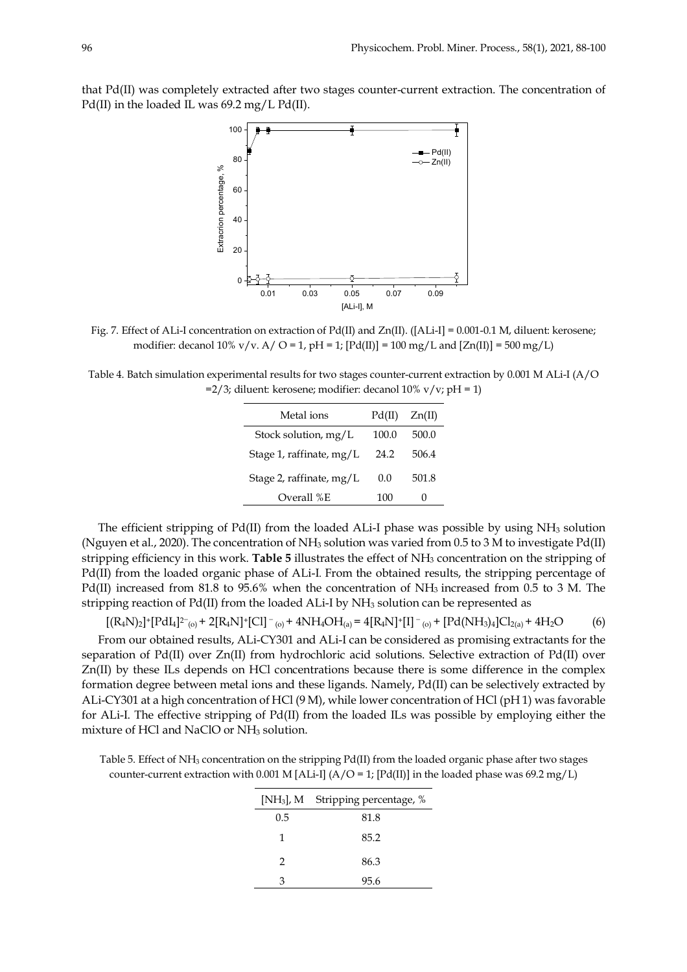that Pd(II) was completely extracted after two stages counter-current extraction. The concentration of Pd(II) in the loaded IL was 69.2 mg/L Pd(II).



Fig. 7. Effect of ALi-I concentration on extraction of Pd(II) and Zn(II). ([ALi-I] = 0.001-0.1 M, diluent: kerosene; modifier: decanol  $10\%$  v/v. A/ O = 1, pH = 1; [Pd(II)] = 100 mg/L and [Zn(II)] = 500 mg/L)

Table 4. Batch simulation experimental results for two stages counter-current extraction by 0.001 M ALi-I (A/O  $=2/3$ ; diluent: kerosene; modifier: decanol 10% v/v; pH = 1)

| Metal ions                 | Pd(II) | Zn(II) |
|----------------------------|--------|--------|
| Stock solution, mg/L       | 100.0  | 500.0  |
| Stage 1, raffinate, mg/L   | 24.2   | 506.4  |
| Stage 2, raffinate, $mg/L$ | 0.0    | 501.8  |
| Overall %E                 | 100    | 0      |

The efficient stripping of Pd(II) from the loaded ALi-I phase was possible by using NH3 solution (Nguyen et al., 2020). The concentration of NH3 solution was varied from 0.5 to 3 M to investigate Pd(II) stripping efficiency in this work. **Table 5** illustrates the effect of NH3 concentration on the stripping of Pd(II) from the loaded organic phase of ALi-I. From the obtained results, the stripping percentage of Pd(II) increased from 81.8 to 95.6% when the concentration of NH<sub>3</sub> increased from 0.5 to 3 M. The stripping reaction of Pd(II) from the loaded ALi-I by NH3 solution can be represented as

 $[(R_4N)_2]^+[PdI_4]^{2-}$ <sub>(0)</sub> + 2 $[R_4N]^+[Cl]^{-}$ <sub>(0)</sub> + 4NH<sub>4</sub>OH<sub>(a)</sub> = 4 $[R_4N]^+[I]^{-}$ <sub>(0)</sub> +  $[Pd(NH_3)_4]Cl_{2(a)}$  + 4H<sub>2</sub>O (6)

From our obtained results, ALi-CY301 and ALi-I can be considered as promising extractants for the separation of Pd(II) over Zn(II) from hydrochloric acid solutions. Selective extraction of Pd(II) over Zn(II) by these ILs depends on HCl concentrations because there is some difference in the complex formation degree between metal ions and these ligands. Namely, Pd(II) can be selectively extracted by ALi-CY301 at a high concentration of HCl (9 M), while lower concentration of HCl (pH 1) was favorable for ALi-I. The effective stripping of Pd(II) from the loaded ILs was possible by employing either the mixture of HCl and NaClO or NH3 solution.

Table 5. Effect of NH3 concentration on the stripping Pd(II) from the loaded organic phase after two stages counter-current extraction with 0.001 M [ALi-I] (A/O = 1; [Pd(II)] in the loaded phase was 69.2 mg/L)

|     | [NH <sub>3</sub> ], M Stripping percentage, % |
|-----|-----------------------------------------------|
| 0.5 | 81.8                                          |
| 1   | 85.2                                          |
| 2   | 86.3                                          |
| З   | 95.6                                          |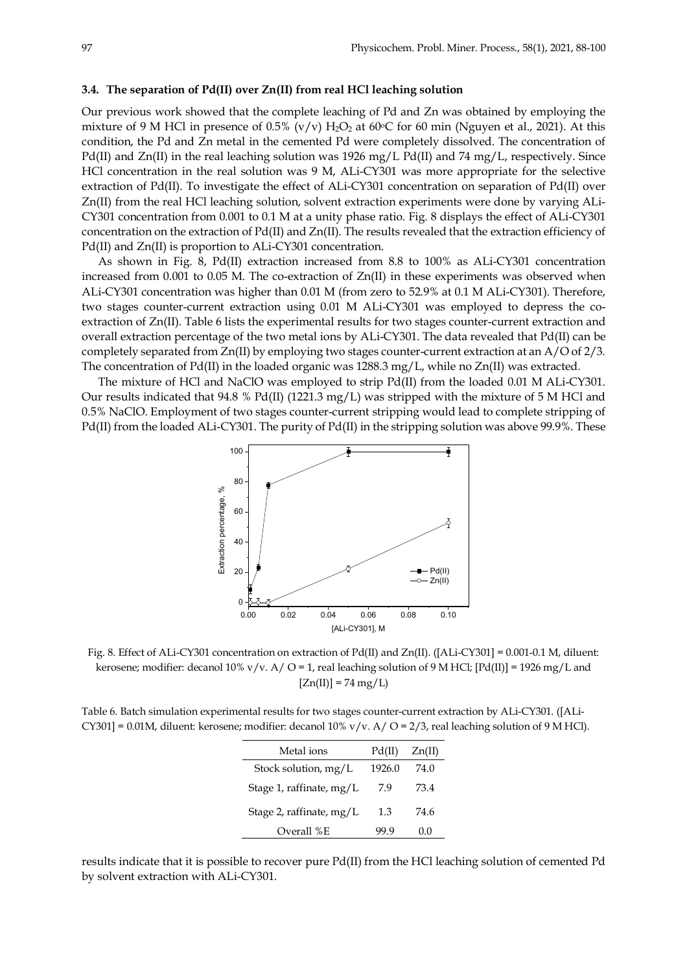#### **3.4. The separation of Pd(II) over Zn(II) from real HCl leaching solution**

Our previous work showed that the complete leaching of Pd and Zn was obtained by employing the mixture of 9 M HCl in presence of 0.5% (v/v)  $H_2O_2$  at 60°C for 60 min (Nguyen et al., 2021). At this condition, the Pd and Zn metal in the cemented Pd were completely dissolved. The concentration of Pd(II) and Zn(II) in the real leaching solution was 1926 mg/L Pd(II) and 74 mg/L, respectively. Since HCl concentration in the real solution was 9 M, ALi-CY301 was more appropriate for the selective extraction of Pd(II). To investigate the effect of ALi-CY301 concentration on separation of Pd(II) over Zn(II) from the real HCl leaching solution, solvent extraction experiments were done by varying ALi-CY301 concentration from 0.001 to 0.1 M at a unity phase ratio. Fig. 8 displays the effect of ALi-CY301 concentration on the extraction of Pd(II) and Zn(II). The results revealed that the extraction efficiency of Pd(II) and Zn(II) is proportion to ALi-CY301 concentration.

As shown in Fig. 8, Pd(II) extraction increased from 8.8 to 100% as ALi-CY301 concentration increased from 0.001 to 0.05 M. The co-extraction of Zn(II) in these experiments was observed when ALi-CY301 concentration was higher than 0.01 M (from zero to 52.9% at 0.1 M ALi-CY301). Therefore, two stages counter-current extraction using 0.01 M ALi-CY301 was employed to depress the coextraction of Zn(II). Table 6 lists the experimental results for two stages counter-current extraction and overall extraction percentage of the two metal ions by ALi-CY301. The data revealed that Pd(II) can be completely separated from  $Zn(II)$  by employing two stages counter-current extraction at an  $A/O$  of  $2/3$ . The concentration of Pd(II) in the loaded organic was 1288.3 mg/L, while no Zn(II) was extracted.

The mixture of HCl and NaClO was employed to strip Pd(II) from the loaded 0.01 M ALi-CY301. Our results indicated that 94.8 % Pd(II) (1221.3 mg/L) was stripped with the mixture of 5 M HCl and 0.5% NaClO. Employment of two stages counter-current stripping would lead to complete stripping of Pd(II) from the loaded ALi-CY301. The purity of Pd(II) in the stripping solution was above 99.9%. These



Fig. 8. Effect of ALi-CY301 concentration on extraction of Pd(II) and Zn(II). ([ALi-CY301] = 0.001-0.1 M, diluent: kerosene; modifier: decanol  $10\%$  v/v. A/ O = 1, real leaching solution of 9 M HCl;  $[Pd(II)] = 1926$  mg/L and  $[Zn(II)] = 74 mg/L$ 

Table 6. Batch simulation experimental results for two stages counter-current extraction by ALi-CY301. ([ALi-CY301] = 0.01M, diluent: kerosene; modifier: decanol 10% v/v. A/ O =  $2/3$ , real leaching solution of 9 M HCl).

| Metal ions                 | Pd(II) | Zn(II) |
|----------------------------|--------|--------|
| Stock solution, $mg/L$     | 1926.0 | 74.0   |
| Stage 1, raffinate, $mg/L$ | 7.9    | 734    |
| Stage 2, raffinate, $mg/L$ | 1.3    | 74.6   |
| Overall %E                 | yy 9   | (1.0)  |

results indicate that it is possible to recover pure Pd(II) from the HCl leaching solution of cemented Pd by solvent extraction with ALi-CY301.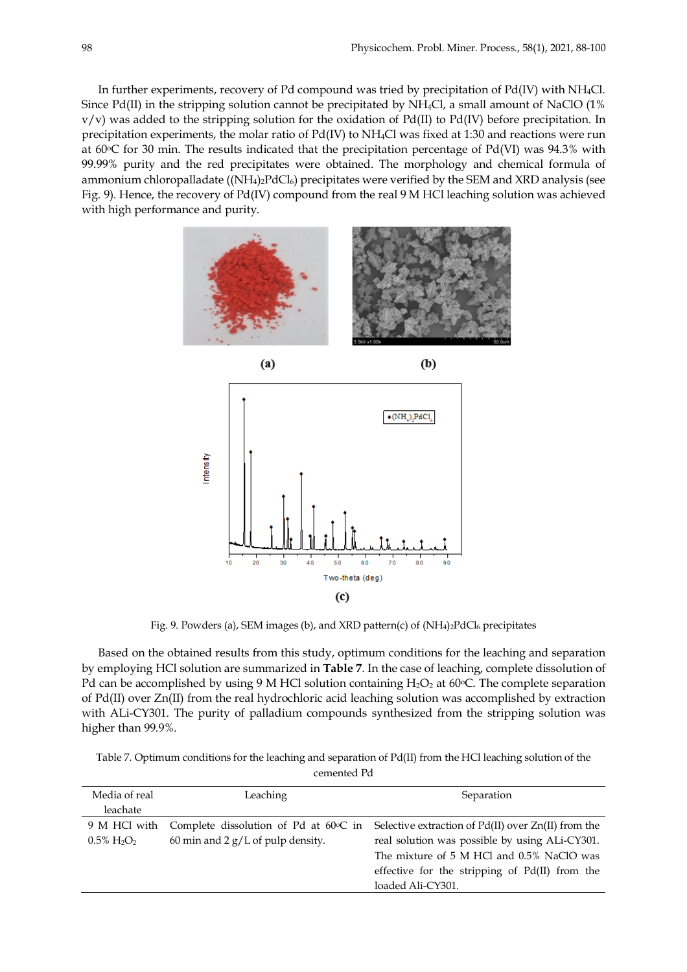In further experiments, recovery of Pd compound was tried by precipitation of Pd(IV) with NH4Cl. Since Pd(II) in the stripping solution cannot be precipitated by NH4Cl, a small amount of NaClO (1% v/v) was added to the stripping solution for the oxidation of Pd(II) to Pd(IV) before precipitation. In precipitation experiments, the molar ratio of Pd(IV) to NH4Cl was fixed at 1:30 and reactions were run at 60°C for 30 min. The results indicated that the precipitation percentage of Pd(VI) was 94.3% with 99.99% purity and the red precipitates were obtained. The morphology and chemical formula of ammonium chloropalladate ( $(NH_4)_2PdCl_6$ ) precipitates were verified by the SEM and XRD analysis (see Fig. 9). Hence, the recovery of Pd(IV) compound from the real 9 M HCl leaching solution was achieved with high performance and purity.





Fig. 9. Powders (a), SEM images (b), and XRD pattern(c) of (NH<sub>4)2</sub>PdCl<sub>6</sub> precipitates

Based on the obtained results from this study, optimum conditions for the leaching and separation by employing HCl solution are summarized in **Table 7**. In the case of leaching, complete dissolution of Pd can be accomplished by using 9 M HCl solution containing  $H_2O_2$  at 60 $\degree$ C. The complete separation of Pd(II) over Zn(II) from the real hydrochloric acid leaching solution was accomplished by extraction with ALi-CY301. The purity of palladium compounds synthesized from the stripping solution was higher than 99.9%.

Table 7. Optimum conditions for the leaching and separation of Pd(II) from the HCl leaching solution of the cemented Pd

| Media of real                 | Leaching                                        | Separation                                              |
|-------------------------------|-------------------------------------------------|---------------------------------------------------------|
| leachate                      |                                                 |                                                         |
| 9 M HCl with                  | Complete dissolution of Pd at $60^{\circ}$ C in | Selective extraction of $Pd(II)$ over $Zn(II)$ from the |
| $0.5\% \text{ H}_2\text{O}_2$ | 60 min and 2 $g/L$ of pulp density.             | real solution was possible by using ALi-CY301.          |
|                               |                                                 | The mixture of 5 M HCl and 0.5% NaClO was               |
|                               |                                                 | effective for the stripping of Pd(II) from the          |
|                               |                                                 | loaded Ali-CY301.                                       |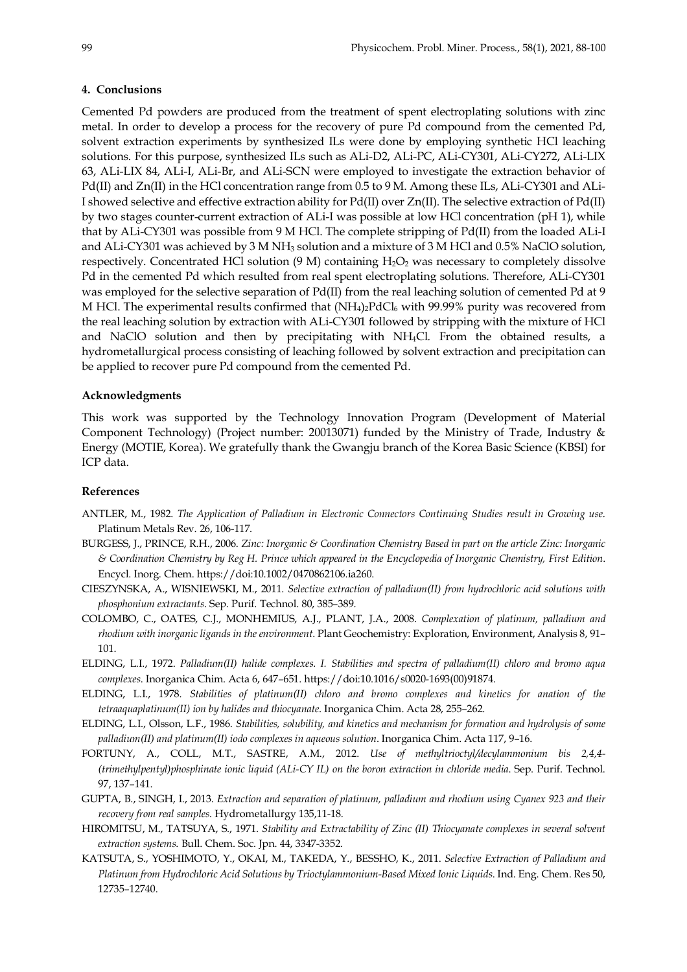## **4. Conclusions**

Cemented Pd powders are produced from the treatment of spent electroplating solutions with zinc metal. In order to develop a process for the recovery of pure Pd compound from the cemented Pd, solvent extraction experiments by synthesized ILs were done by employing synthetic HCl leaching solutions. For this purpose, synthesized ILs such as ALi-D2, ALi-PC, ALi-CY301, ALi-CY272, ALi-LIX 63, ALi-LIX 84, ALi-I, ALi-Br, and ALi-SCN were employed to investigate the extraction behavior of Pd(II) and Zn(II) in the HCl concentration range from 0.5 to 9 M. Among these ILs, ALi-CY301 and ALi-I showed selective and effective extraction ability for Pd(II) over Zn(II). The selective extraction of Pd(II) by two stages counter-current extraction of ALi-I was possible at low HCl concentration (pH 1), while that by ALi-CY301 was possible from 9 M HCl. The complete stripping of Pd(II) from the loaded ALi-I and ALi-CY301 was achieved by 3 M NH3 solution and a mixture of 3 M HCl and 0.5% NaClO solution, respectively. Concentrated HCl solution  $(9 \text{ M})$  containing  $H_2O_2$  was necessary to completely dissolve Pd in the cemented Pd which resulted from real spent electroplating solutions. Therefore, ALi-CY301 was employed for the selective separation of Pd(II) from the real leaching solution of cemented Pd at 9 M HCl. The experimental results confirmed that  $(NH<sub>4</sub>)<sub>2</sub>PdCl<sub>6</sub>$  with 99.99% purity was recovered from the real leaching solution by extraction with ALi-CY301 followed by stripping with the mixture of HCl and NaClO solution and then by precipitating with NH4Cl. From the obtained results, a hydrometallurgical process consisting of leaching followed by solvent extraction and precipitation can be applied to recover pure Pd compound from the cemented Pd.

## **Acknowledgments**

This work was supported by the Technology Innovation Program (Development of Material Component Technology) (Project number: 20013071) funded by the Ministry of Trade, Industry & Energy (MOTIE, Korea). We gratefully thank the Gwangju branch of the Korea Basic Science (KBSI) for ICP data.

#### **References**

- ANTLER, M., 1982. *The Application of Palladium in Electronic Connectors Continuing Studies result in Growing use*. Platinum Metals Rev. 26, 106-117.
- BURGESS, J., PRINCE, R.H., 2006. *Zinc: Inorganic & Coordination Chemistry Based in part on the article Zinc: Inorganic & Coordination Chemistry by Reg H. Prince which appeared in the Encyclopedia of Inorganic Chemistry, First Edition*. Encycl. Inorg. Chem. https://doi:10.1002/0470862106.ia260.
- CIESZYNSKA, A., WISNIEWSKI, M., 2011. *Selective extraction of palladium(II) from hydrochloric acid solutions with phosphonium extractants*. Sep. Purif. Technol. 80, 385–389.
- COLOMBO, C., OATES, C.J., MONHEMIUS, A.J., PLANT, J.A., 2008. *Complexation of platinum, palladium and rhodium with inorganic ligands in the environment*. Plant Geochemistry: Exploration, Environment, Analysis 8, 91– 101.
- ELDING, L.I., 1972. *Palladium(II) halide complexes. I. Stabilities and spectra of palladium(II) chloro and bromo aqua complexes*. Inorganica Chim. Acta 6, 647–651. https://doi:10.1016/s0020-1693(00)91874.
- ELDING, L.I., 1978. *Stabilities of platinum(II) chloro and bromo complexes and kinetics for anation of the tetraaquaplatinum(II) ion by halides and thiocyanate*. Inorganica Chim. Acta 28, 255–262.
- ELDING, L.I., Olsson, L.F., 1986. *Stabilities, solubility, and kinetics and mechanism for formation and hydrolysis of some palladium(II) and platinum(II) iodo complexes in aqueous solution*. Inorganica Chim. Acta 117, 9–16.
- FORTUNY, A., COLL, M.T., SASTRE, A.M., 2012. *Use of methyltrioctyl/decylammonium bis 2,4,4- (trimethylpentyl)phosphinate ionic liquid (ALi-CY IL) on the boron extraction in chloride media*. Sep. Purif. Technol. 97, 137–141.
- GUPTA, B., SINGH, I., 2013. *Extraction and separation of platinum, palladium and rhodium using Cyanex 923 and their recovery from real samples*. Hydrometallurgy 135,11-18.
- HIROMITSU, M., TATSUYA, S., 1971. *Stability and Extractability of Zinc (II) Thiocyanate complexes in several solvent extraction systems*. Bull. Chem. Soc. Jpn. 44, 3347-3352.
- KATSUTA, S., YOSHIMOTO, Y., OKAI, M., TAKEDA, Y., BESSHO, K., 2011. *Selective Extraction of Palladium and Platinum from Hydrochloric Acid Solutions by Trioctylammonium-Based Mixed Ionic Liquids*. Ind. Eng. Chem. Res 50, 12735–12740.